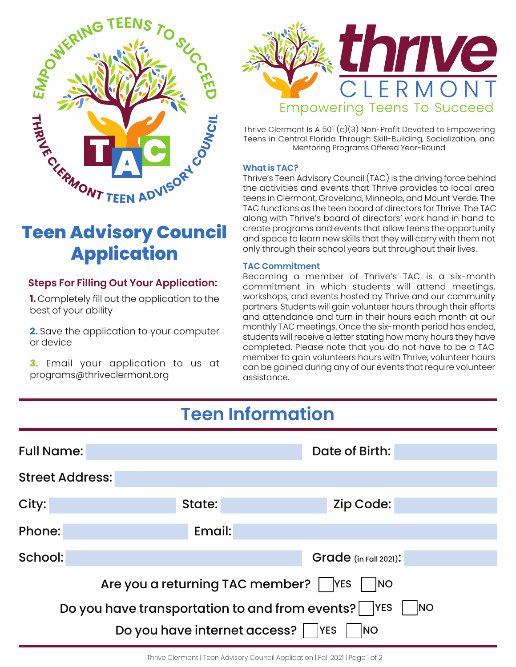

# **Teen Advisory Council Application**

### **Steps For Filling Out Your Application:**

**1.** Completely fill out the application to the best of your ability

**2.** Save the application to your computer or device

**3.** Email your application to us at programs@thriveclermont.org



Thrive Clermont Is A 501 (c)(3) Non-Profit Devoted to Empowering Teens in Central Florida Through Skill-Building, Socialization, and Mentoring Programs Offered Year-Round

### **What is TAC?**

Thrive's Teen Advisory Council (TAC) is the driving force behind the activities and events that Thrive provides to local area teens in Clermont, Groveland, Minneola, and Mount Verde. The TAC functions as the teen board of directors for Thrive. The TAC along with Thrive's board of directors' work hand in hand to create programs and events that allow teens the opportunity and space to learn new skills that they will carry with them not only through their school years but throughout their lives.

#### **TAC Commitment**

Becoming a member of Thrive's TAC is a six-month commitment in which students will attend meetings, workshops, and events hosted by Thrive and our community partners. Students will gain volunteer hours through their efforts and attendance and turn in their hours each month at our monthly TAC meetings. Once the six-month period has ended, students will receive a letter stating how many hours they have completed. Please note that you do not have to be a TAC member to gain volunteers hours with Thrive, volunteer hours can be gained during any of our events that require volunteer assistance.

## **Teen Information**

| <b>Full Name:</b>                                                   |        | Date of Birth:          |  |  |  |
|---------------------------------------------------------------------|--------|-------------------------|--|--|--|
| <b>Street Address:</b>                                              |        |                         |  |  |  |
| City:                                                               | State: | Zip Code:               |  |  |  |
| Phone:                                                              | Email: |                         |  |  |  |
| School:                                                             |        | $Grade$ (in Fall 2021): |  |  |  |
| Are you a returning TAC member?<br><b>YES</b><br>NO                 |        |                         |  |  |  |
| Do you have transportation to and from events?     YES<br><b>NO</b> |        |                         |  |  |  |
| Do you have internet access?  <br><b>YES</b><br><b>NO</b>           |        |                         |  |  |  |